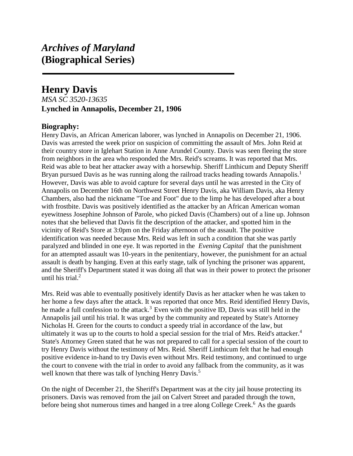# *Archives of Maryland* **(Biographical Series)**

## **Henry Davis**

### *MSA SC 3520-13635* **Lynched in Annapolis, December 21, 1906**

### **Biography:**

Henry Davis, an African American laborer, was lynched in Annapolis on December 21, 1906. Davis was arrested the week prior on suspicion of committing the assault of Mrs. John Reid at their country store in Iglehart Station in Anne Arundel County. Davis was seen fleeing the store from neighbors in the area who responded the Mrs. Reid's screams. It was reported that Mrs. Reid was able to beat her attacker away with a horsewhip. Sheriff Linthicum and Deputy Sheriff Bryan pursued Davis as he was running along the railroad tracks heading towards Annapolis.<sup>1</sup> However, Davis was able to avoid capture for several days until he was arrested in the City of Annapolis on December 16th on Northwest Street Henry Davis, aka William Davis, aka Henry Chambers, also had the nickname "Toe and Foot" due to the limp he has developed after a bout with frostbite. Davis was positively identified as the attacker by an African American woman eyewitness Josephine Johnson of Parole, who picked Davis (Chambers) out of a line up. Johnson notes that she believed that Davis fit the description of the attacker, and spotted him in the vicinity of Reid's Store at 3:0pm on the Friday afternoon of the assault. The positive identification was needed because Mrs. Reid was left in such a condition that she was partly paralyzed and blinded in one eye. It was reported in the *Evening Capital* that the punishment for an attempted assault was 10-years in the penitentiary, however, the punishment for an actual assault is death by hanging. Even at this early stage, talk of lynching the prisoner was apparent, and the Sheriff's Department stated it was doing all that was in their power to protect the prisoner until his trial. $<sup>2</sup>$ </sup>

Mrs. Reid was able to eventually positively identify Davis as her attacker when he was taken to her home a few days after the attack. It was reported that once Mrs. Reid identified Henry Davis, he made a full confession to the attack.<sup>3</sup> Even with the positive ID, Davis was still held in the Annapolis jail until his trial. It was urged by the community and repeated by State's Attorney Nicholas H. Green for the courts to conduct a speedy trial in accordance of the law, but ultimately it was up to the courts to hold a special session for the trial of Mrs. Reid's attacker.<sup>4</sup> State's Attorney Green stated that he was not prepared to call for a special session of the court to try Henry Davis without the testimony of Mrs. Reid. Sheriff Linthicum felt that he had enough positive evidence in-hand to try Davis even without Mrs. Reid testimony, and continued to urge the court to convene with the trial in order to avoid any fallback from the community, as it was well known that there was talk of lynching Henry Davis.<sup>5</sup>

On the night of December 21, the Sheriff's Department was at the city jail house protecting its prisoners. Davis was removed from the jail on Calvert Street and paraded through the town, before being shot numerous times and hanged in a tree along College Creek.<sup>6</sup> As the guards